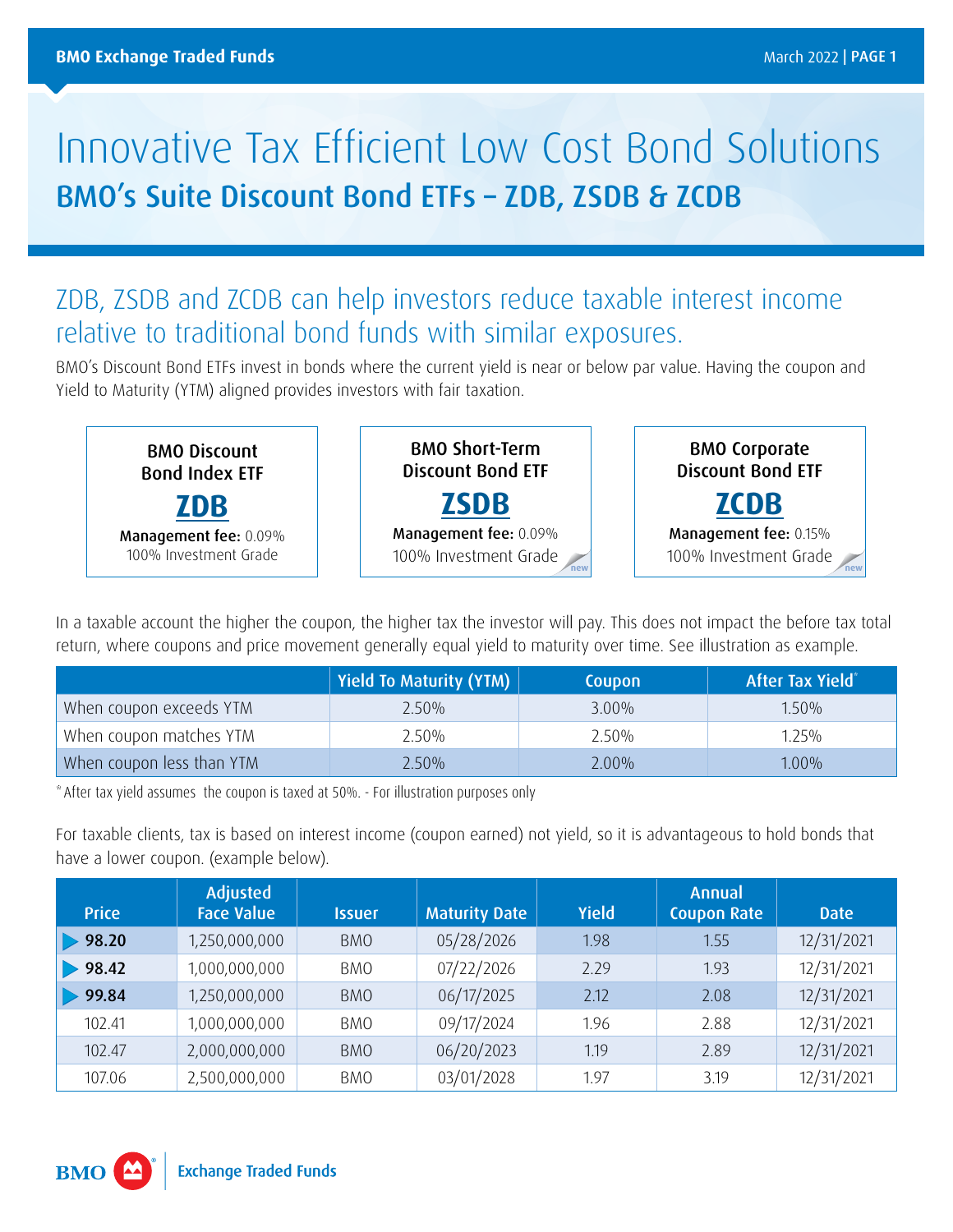## Innovative Tax Efficient Low Cost Bond Solutions BMO's Suite Discount Bond ETFs – ZDB, ZSDB & ZCDB

## ZDB, ZSDB and ZCDB can help investors reduce taxable interest income relative to traditional bond funds with similar exposures.

BMO's Discount Bond ETFs invest in bonds where the current yield is near or below par value. Having the coupon and Yield to Maturity (YTM) aligned provides investors with fair taxation.

BMO Discount Bond Index ETF **[ZDB](https://www.bmo.com/gam/ca/advisor/products/etfs?fundUrl=/fundProfile/ZDB#fundUrl=%2FfundProfile%2FZDB)** Management fee: 0.09% 100% Investment Grade BMO Short-Term Discount Bond ETF **[ZSDB](https://www.bmo.com/gam/ca/advisor/products/etfs?fundUrl=/fundProfile/ZSDB#fundUrl=%2FfundProfile%2FZSDB)** Management fee: 0.09% 100% Investment Grade **new** BMO Corporate Discount Bond ETF **[ZCDB](https://www.bmo.com/gam/ca/advisor/products/etfs?fundUrl=/fundProfile/ZCDB#fundUrl=%2FfundProfile%2FZCDB)** Management fee: 0.15% 100% Investment Grade **new**

In a taxable account the higher the coupon, the higher tax the investor will pay. This does not impact the before tax total return, where coupons and price movement generally equal yield to maturity over time. See illustration as example.

|                           | Yield To Maturity (YTM) | Coupon   | After Tax Yield <sup>®</sup> |
|---------------------------|-------------------------|----------|------------------------------|
| When coupon exceeds YTM   | $2.50\%$                | $3.00\%$ | $1.50\%$                     |
| When coupon matches YTM   | 2.50%                   | 2.50%    | $1.25\%$                     |
| When coupon less than YTM | $2.50\%$                | $2.00\%$ | 1.00%                        |

\*After tax yield assumes the coupon is taxed at 50%. - For illustration purposes only

For taxable clients, tax is based on interest income (coupon earned) not yield, so it is advantageous to hold bonds that have a lower coupon. (example below).

| <b>Price</b> | <b>Adjusted</b><br><b>Face Value</b> | <b>Issuer</b> | <b>Maturity Date</b> | <b>Yield</b> | Annual<br><b>Coupon Rate</b> | <b>Date</b> |
|--------------|--------------------------------------|---------------|----------------------|--------------|------------------------------|-------------|
| 98.20        | 1,250,000,000                        | <b>BMO</b>    | 05/28/2026           | 1.98         | 1.55                         | 12/31/2021  |
| 98.42        | 1,000,000,000                        | <b>BMO</b>    | 07/22/2026           | 2.29         | 1.93                         | 12/31/2021  |
| 99.84        | 1,250,000,000                        | <b>BMO</b>    | 06/17/2025           | 2.12         | 2.08                         | 12/31/2021  |
| 102.41       | 1,000,000,000                        | <b>BMO</b>    | 09/17/2024           | 1.96         | 2.88                         | 12/31/2021  |
| 102.47       | 2,000,000,000                        | <b>BMO</b>    | 06/20/2023           | 1.19         | 2.89                         | 12/31/2021  |
| 107.06       | 2,500,000,000                        | <b>BMO</b>    | 03/01/2028           | 1.97         | 3.19                         | 12/31/2021  |